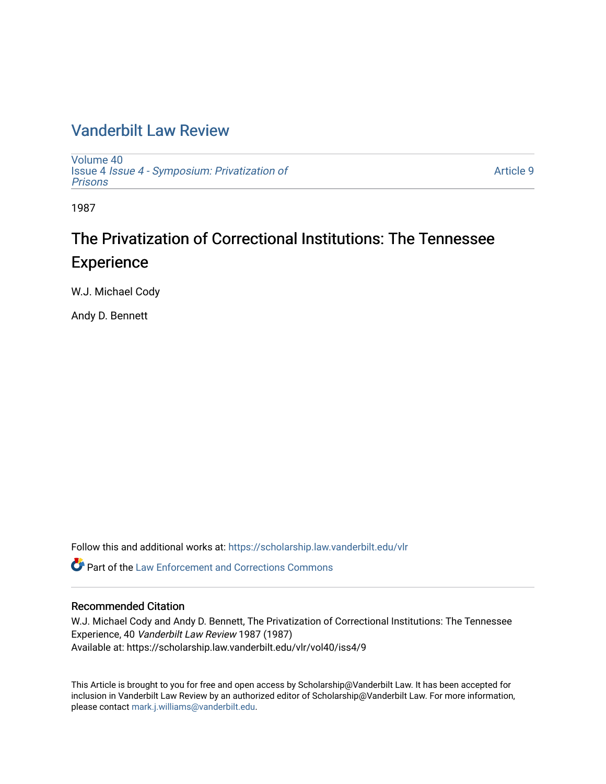### [Vanderbilt Law Review](https://scholarship.law.vanderbilt.edu/vlr)

[Volume 40](https://scholarship.law.vanderbilt.edu/vlr/vol40) Issue 4 [Issue 4 - Symposium: Privatization of](https://scholarship.law.vanderbilt.edu/vlr/vol40/iss4) [Prisons](https://scholarship.law.vanderbilt.edu/vlr/vol40/iss4) 

[Article 9](https://scholarship.law.vanderbilt.edu/vlr/vol40/iss4/9) 

1987

## The Privatization of Correctional Institutions: The Tennessee **Experience**

W.J. Michael Cody

Andy D. Bennett

Follow this and additional works at: [https://scholarship.law.vanderbilt.edu/vlr](https://scholarship.law.vanderbilt.edu/vlr?utm_source=scholarship.law.vanderbilt.edu%2Fvlr%2Fvol40%2Fiss4%2F9&utm_medium=PDF&utm_campaign=PDFCoverPages)

 $\bullet$  Part of the Law Enforcement and Corrections Commons

### Recommended Citation

W.J. Michael Cody and Andy D. Bennett, The Privatization of Correctional Institutions: The Tennessee Experience, 40 Vanderbilt Law Review 1987 (1987) Available at: https://scholarship.law.vanderbilt.edu/vlr/vol40/iss4/9

This Article is brought to you for free and open access by Scholarship@Vanderbilt Law. It has been accepted for inclusion in Vanderbilt Law Review by an authorized editor of Scholarship@Vanderbilt Law. For more information, please contact [mark.j.williams@vanderbilt.edu.](mailto:mark.j.williams@vanderbilt.edu)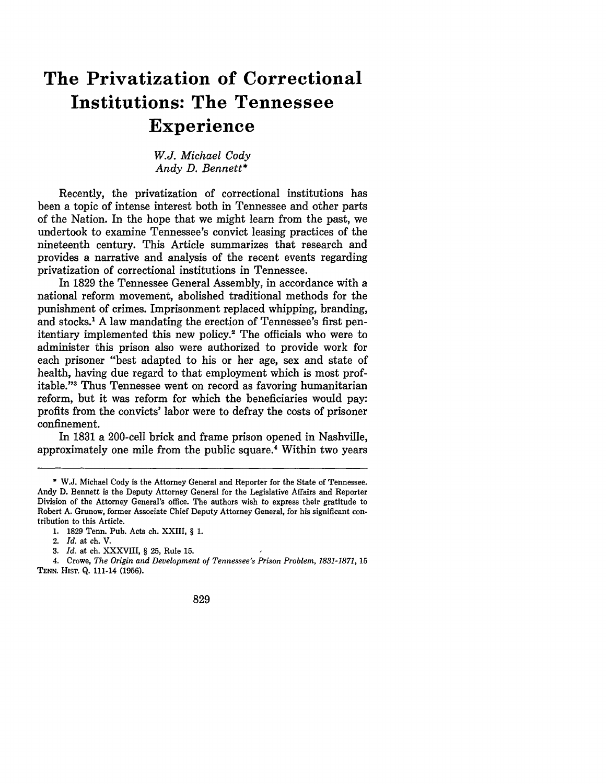# **The Privatization of Correctional Institutions: The Tennessee Experience**

*W.J. Michael Cody Andy D. Bennett\**

Recently, the privatization of correctional institutions has been a topic of intense interest both in Tennessee and other parts of the Nation. In the hope that we might learn from the past, we undertook to examine Tennessee's convict leasing practices of the nineteenth century. This Article summarizes that research and provides a narrative and analysis of the recent events regarding privatization of correctional institutions in Tennessee.

In **1829** the Tennessee General Assembly, in accordance with a national reform movement, abolished traditional methods for the punishment of crimes. Imprisonment replaced whipping, branding, and stocks.' **A** law mandating the erection of Tennessee's first penitentiary implemented this new **policy. <sup>2</sup>**The officials who were to administer this prison also were authorized to provide work for each prisoner "best adapted to his or her age, sex and state of health, having due regard to that employment which is most profitable."'3 Thus Tennessee went on record as favoring humanitarian reform, but it was reform for which the beneficiaries would pay: profits from the convicts' labor were to defray the costs of prisoner confinement.

In 1831 a 200-cell brick and frame prison opened in Nashville, approximately one mile from the public square.4 Within two years

**<sup>\*</sup> W.J.** Michael Cody is the Attorney General and Reporter for the State of Tennessee. Andy **D.** Bennett is the Deputy Attorney General for the Legislative Affairs and Reporter Division of the Attorney General's office. The authors wish to express their gratitude to Robert **A.** Grunow, former Associate Chief Deputy Attorney General, for his significant contribution to this Article.

**<sup>1. 1829</sup>** Tenn. Pub. Acts ch. XXIII, § **1.**

<sup>2.</sup> *Id.* at ch. V.

*<sup>3.</sup> Id.* at ch. XXXVIII, § **25,** Rule **15.**

<sup>4.</sup> Crowe, *The Origin and Development of Tennessee's Prison Problem, 1831-1871,* **15 TENN. HIST. Q. 111-14 (1956).**

<sup>829</sup>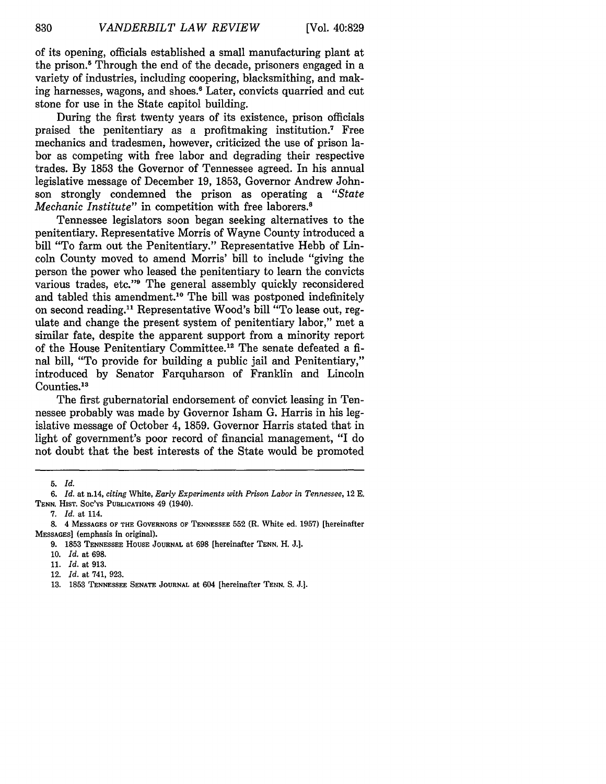of its opening, officials established a small manufacturing plant at the prison.<sup>5</sup> Through the end of the decade, prisoners engaged in a variety of industries, including coopering, blacksmithing, and making harnesses, wagons, and shoes.<sup>6</sup> Later, convicts quarried and cut stone for use in the State capitol building.

During the first twenty years of its existence, prison officials praised the penitentiary as a profitmaking institution.<sup>7</sup> Free mechanics and tradesmen, however, criticized the use of prison labor as competing with free labor and degrading their respective trades. By 1853 the Governor of Tennessee agreed. In his annual legislative message of December 19, 1853, Governor Andrew Johnson strongly condemned the prison as operating a *"State Mechanic Institute*" in competition with free laborers.<sup>8</sup>

Tennessee legislators soon began seeking alternatives to the penitentiary. Representative Morris of Wayne County introduced a bill "To farm out the Penitentiary." Representative Hebb of Lincoln County moved to amend Morris' bill to include "giving the person the power who leased the penitentiary to learn the convicts various trades, etc."<sup>9</sup> The general assembly quickly reconsidered and tabled this amendment.<sup>10</sup> The bill was postponed indefinitely on second reading." Representative Wood's bill "To lease out, regulate and change the present system of penitentiary labor," met a similar fate, despite the apparent support from a minority report of the House Penitentiary Committee.<sup>12</sup> The senate defeated a final bill, "To provide for building a public jail and Penitentiary," introduced by Senator Farquharson of Franklin and Lincoln Counties.<sup>13</sup>

The first gubernatorial endorsement of convict leasing in Tennessee probably was made by Governor Isham G. Harris in his legislative message of October 4, 1859. Governor Harris stated that in light of government's poor record of financial management, "I do not doubt that the best interests of the State would be promoted

7. *Id.* at 114.

<sup>5.</sup> *Id.*

*<sup>6.</sup> Id.* at n.14, *citing* White, *Early Experiments with Prison Labor in Tennessee,* 12 E. TENN. HIsT. Soc'ys PUBLICATIONS 49 (1940).

**<sup>8.</sup>** 4 MESSAGES OF THE GOVERNORS OF TENNESSEE 552 (R. White ed. 1957) [hereinafter MESSAGES] (emphasis in original).

<sup>9. 1853</sup> TENNESSEE HOUSE JOURNAL at 698 [hereinafter TENN. H. J.].

<sup>10.</sup> *Id.* at 698.

<sup>11.</sup> *Id.* at 913.

<sup>12.</sup> *Id.* at 741, 923.

**<sup>13.</sup>** 1853 TENNESSEE **SENATE** JOURNAL at 604 [hereinafter TENN. **S. J.].**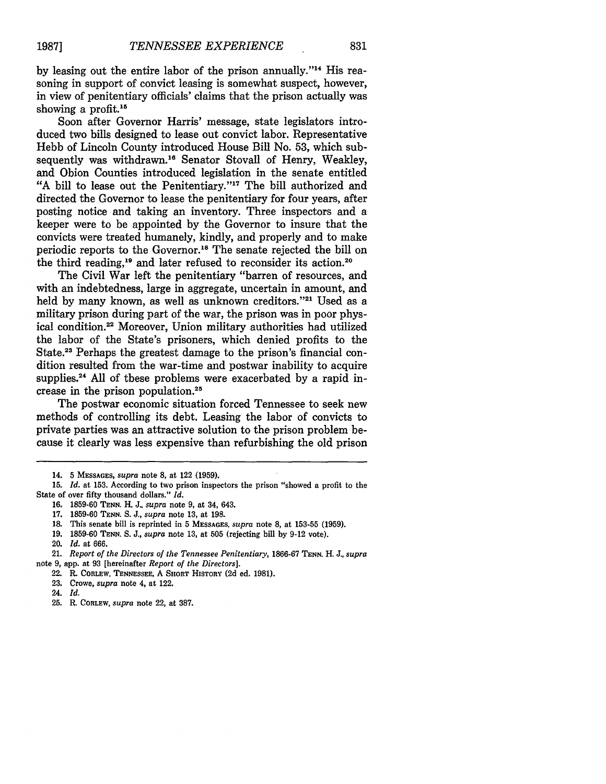by leasing out the entire labor of the prison annually."<sup>14</sup> His reasoning in support of convict leasing is somewhat suspect, however, in view of penitentiary officials' claims that the prison actually was showing a profit.<sup>15</sup>

Soon after Governor Harris' message, state legislators introduced two bills designed to lease out convict labor. Representative Hebb of Lincoln County introduced House Bill No. 53, which subsequently was withdrawn.<sup>16</sup> Senator Stovall of Henry, Weakley, and Obion Counties introduced legislation in the senate entitled "A bill to lease out the Penitentiary."<sup>17</sup> The bill authorized and directed the Governor to lease the penitentiary for four years, after posting notice and taking an inventory. Three inspectors and a keeper were to be appointed by the Governor to insure that the convicts were treated humanely, kindly, and properly and to make periodic reports to the Governor.<sup>18</sup> The senate rejected the bill on the third reading,<sup>19</sup> and later refused to reconsider its action.<sup>20</sup>

The Civil War left the penitentiary "barren of resources, and with an indebtedness, large in aggregate, uncertain in amount, and held by many known, as well as unknown creditors."<sup>21</sup> Used as a military prison during part of the war, the prison was in poor physical condition.22 Moreover, Union military authorities had utilized the labor of the State's prisoners, which denied profits to the State.<sup>23</sup> Perhaps the greatest damage to the prison's financial condition resulted from the war-time and postwar inability to acquire supplies.<sup>24</sup> All of these problems were exacerbated by a rapid increase in the prison population.25

The postwar economic situation forced Tennessee to seek new methods of controlling its debt. Leasing the labor of convicts to private parties was an attractive solution to the prison problem because it clearly was less expensive than refurbishing the old prison

- 16. 1859-60 **TENN.** H. J., *supra* note 9, at 34, 643.
- 17. 1859-60 **TENN.** S. J., *supra* note 13, at 198.
- 18. This senate bill is reprinted in 5 **MESSAGES,** *supra* note 8, at 153-55 (1959).
- 19. 1859-60 **TENN.** S. J., *supra* note 13, at 505 (rejecting bill by 9-12 vote).
- 20. *Id.* at 666.
- 21. *Report of the Directors of the Tennessee Penitentiary,* 1866-67 **TENN.** H. J., *supra* note 9, app. at 93 [hereinafter *Report of the Directors].*
	- 22. R. **CORLEW, TENNESSEE,** A **SHORT** HISTORY (2d ed. 1981).
	- 23. Crowe, *supra* note 4, at 122.
	- 24. *Id.*
	-
	- 25. R. **CORLEW,** *supra* note 22, at **387.**

<sup>14. 5</sup> **MESSAGES,** *supra* note 8, at 122 (1959).

<sup>15.</sup> *Id.* at 153. According to two prison inspectors the prison "showed a profit to the State of over fifty thousand dollars." *Id.*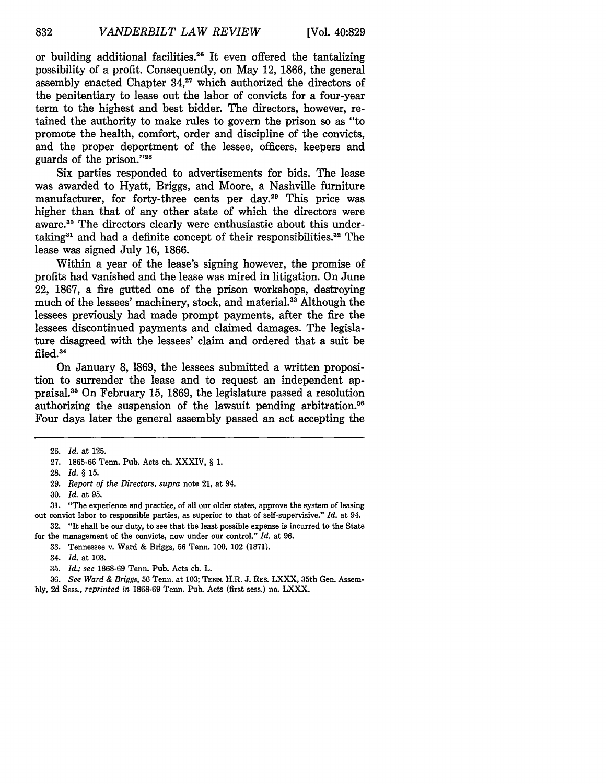or building additional facilities.<sup>26</sup> It even offered the tantalizing possibility of a profit. Consequently, on May 12, **1866,** the general assembly enacted Chapter **34,27** which authorized the directors of the penitentiary to lease out the labor of convicts for a four-year term to the highest and best bidder. The directors, however, retained the authority to make rules to govern the prison so as "to promote the health, comfort, order and discipline of the convicts, and the proper deportment of the lessee, officers, keepers and guards of the prison."28

Six parties responded to advertisements for bids. The lease was awarded to Hyatt, Briggs, and Moore, a Nashville furniture manufacturer, for forty-three cents per day.<sup>29</sup> This price was higher than that of any other state of which the directors were aware.<sup>30</sup> The directors clearly were enthusiastic about this undertaking31 and had a definite concept of their responsibilities.32 The lease was signed July 16, 1866.

Within a year of the lease's signing however, the promise of profits had vanished and the lease was mired in litigation. On June 22, 1867, a fire gutted one of the prison workshops, destroying much of the lessees' machinery, stock, and material.<sup>33</sup> Although the lessees previously had made prompt payments, after the fire the lessees discontinued payments and claimed damages. The legislature disagreed with the lessees' claim and ordered that a suit be filed.<sup>34</sup>

On January 8, 1869, the lessees submitted a written proposition to surrender the lease and to request an independent appraisal. 5 On February 15, 1869, the legislature passed a resolution authorizing the suspension of the lawsuit pending arbitration.<sup>36</sup> Four days later the general assembly passed an act accepting the

**28.** *Id.* § **15.**

31. "The experience and practice, of all our older states, approve the system of leasing out convict labor to responsible parties, as superior to that of self-supervisive." *Id.* at 94.

**32.** "It shall be our duty, to see that the least possible expense is incurred to the State for the management of the convicts, now under our control." *Id.* at 96.

33. Tennessee v. Ward & Briggs, 56 Tenn. 100, 102 (1871).

35. *Id.; see* 1868-69 Tenn. Pub. Acts ch. L.

36. *See Ward & Briggs,* 56 Tenn. at 103; **TENN.** H.R. J. RES. LXXX, 35th Gen. Assembly, 2d Sess., *reprinted in* 1868-69 Tenn. Pub. Acts (first sess.) no. LXXX.

<sup>26.</sup> *Id.* at 125.

<sup>27. 1865-66</sup> Tenn. Pub. Acts ch. XXXIV, § 1.

<sup>29.</sup> *Report of the Directors, supra* note 21, at 94.

<sup>30.</sup> *Id.* at 95.

<sup>34.</sup> *Id.* at 103.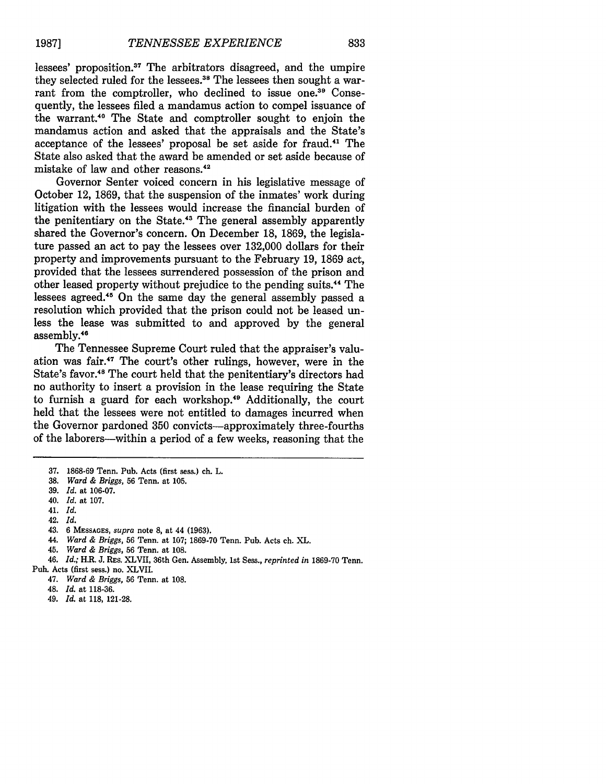**1987]**

lessees' proposition.<sup>37</sup> The arbitrators disagreed, and the umpire they selected ruled for the lessees.<sup>38</sup> The lessees then sought a warrant from the comptroller, who declined to issue one.<sup>39</sup> Consequently, the lessees filed a mandamus action to compel issuance of the warrant.40 The State and comptroller sought to enjoin the mandamus action and asked that the appraisals and the State's acceptance of the lessees' proposal be set aside for fraud.41 The State also asked that the award be amended or set aside because of mistake of law and other reasons.<sup>42</sup>

Governor Senter voiced concern in his legislative message of October 12, **1869,** that the suspension of the inmates' work during litigation with the lessees would increase the financial burden of the penitentiary on the State.'3 The general assembly apparently shared the Governor's concern. On December **18, 1869,** the legislature passed an act to pay the lessees over **132,000** dollars for their property and improvements pursuant to the February **19, 1869** act, provided that the lessees surrendered possession of the prison and other leased property without prejudice to the pending suits.<sup>44</sup> The lessees agreed.<sup>45</sup> On the same day the general assembly passed a resolution which provided that the prison could not be leased unless the lease was submitted to and approved **by** the general assembly.<sup>46</sup>

The Tennessee Supreme Court ruled that the appraiser's valuation was fair.'7 The court's other rulings, however, were in the State's favor.<sup>48</sup> The court held that the penitentiary's directors had no authority to insert a provision in the lease requiring the State to furnish a guard for each workshop.<sup>49</sup> Additionally, the court held that the lessees were not entitled to damages incurred when the Governor pardoned **350** convicts-approximately three-fourths of the laborers-within a period of a few weeks, reasoning that the

40. *Id.* at 107.

42. *Id.*

- 44. *Ward & Briggs,* 56 Tenn. at 107; 1869-70 Tenn. Pub. Acts ch. XL.
- 45. *Ward & Briggs,* **56** Tenn. at 108.

46. *Id.;* H.R. J. RES. XLVII, 36th Gen. Assembly, 1st Sess., *reprinted in* 1869-70 Tenn.

- 47. *Ward & Briggs,* **56** Tenn. at 108.
- 48. *Id.* at 118-36.
- 49. *Id.* at 118, 121-28.

**<sup>37. 1868-69</sup>** Tenn. Pub. Acts (first sess.) ch. L.

**<sup>38.</sup>** *Ward & Briggs,* **56** Tenn. at **105.**

<sup>39.</sup> *Id.* at 106-07.

<sup>41.</sup> *Id.*

<sup>43. 6</sup> **MESSAGES,** *supra* note **8,** at 44 **(1963).**

Pub. Acts (first sess.) no. XLVII.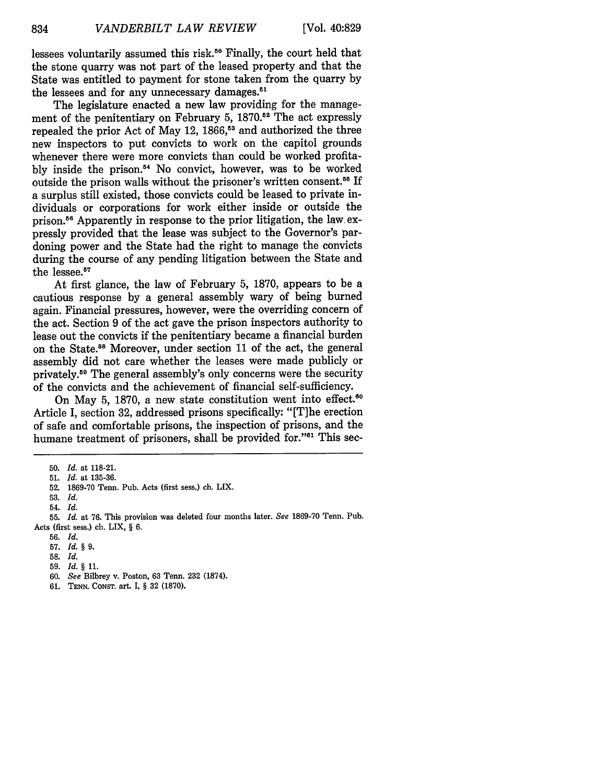lessees voluntarily assumed this risk.<sup>50</sup> Finally, the court held that the stone quarry was not part of the leased property and that the State was entitled to payment for stone taken from the quarry by the lessees and for any unnecessary damages.<sup>51</sup>

The legislature enacted a new law providing for the management of the penitentiary on February 5, 1870.<sup>52</sup> The act expressly repealed the prior Act of May 12, 1866,<sup>53</sup> and authorized the three new inspectors to put convicts to work on the capitol grounds whenever there were more convicts than could be worked profitably inside the prison."' No convict, however, was to be worked outside the prison walls without the prisoner's written consent.<sup>55</sup> If a surplus still existed, those convicts could be leased to private individuals or corporations for work either inside or outside the prison.56 Apparently in response to the prior litigation, the law. expressly provided that the lease was subject to the Governor's pardoning power and the State had the right to manage the convicts during the course of any pending litigation between the State and the lessee.<sup>57</sup>

At first glance, the law of February 5, 1870, appears to be a cautious response by a general assembly wary of being burned again. Financial pressures, however, were the overriding concern of the act. Section 9 of the act gave the prison inspectors authority to lease out the convicts if the penitentiary became a financial burden on the State.<sup>58</sup> Moreover, under section 11 of the act, the general assembly did not care whether the leases were made publicly or privately.59 The general assembly's only concerns were the security of the convicts and the achievement of financial self-sufficiency.

On May 5, 1870, a new state constitution went into effect.<sup>60</sup> Article I, section 32, addressed prisons specifically: "[T]he erection of safe and comfortable prisons, the inspection of prisons, and the humane treatment of prisoners, shall be provided for."<sup>61</sup> This sec-

<sup>50.</sup> *Id.* at 118-21.

<sup>51.</sup> *Id.* at 135-36.

<sup>52. 1869-70</sup> Tenn. Pub. Acts (first sess.) ch. LIX.

**<sup>53.</sup>** *Id.* 54. *Id.*

<sup>55.</sup> *Id.* at 76. This provision was deleted four months later. *See* 1869-70 Tenn. Pub. Acts (first sess.) ch. LIX, § 6.

<sup>56.</sup> *Id.*

**<sup>57.</sup>** *Id. §9.*

<sup>58.</sup> *Id.*

<sup>59.</sup> *Id. §* **11.**

<sup>60.</sup> *See* Bilbrey v. Poston, 63 Tenn. 232 (1874).

<sup>61.</sup> **TENN.** CONST. art. I, § 32 (1870).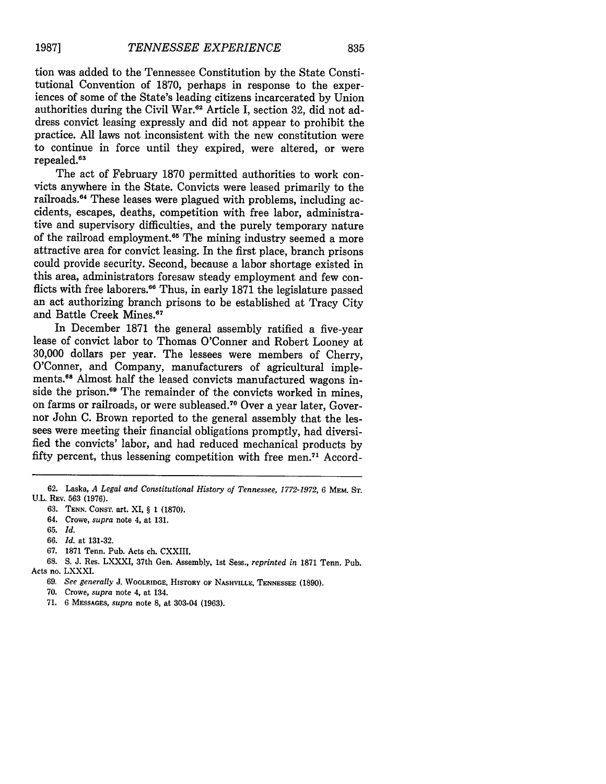tion was added to the Tennessee Constitution by the State Constitutional Convention of 1870, perhaps in response to the exper- iences of some of the State's leading citizens incarcerated by Union authorities during the Civil War.<sup>62</sup> Article I, section 32, did not address convict leasing expressly and did not appear to prohibit the practice. All laws not inconsistent with the new constitution were to continue in force until they expired, were altered, or were repealed.<sup>63</sup>

The act of February 1870 permitted authorities to work convicts anywhere in the State. Convicts were leased primarily to the railroads.<sup>64</sup> These leases were plagued with problems, including accidents, escapes, deaths, competition with free labor, administrative and supervisory difficulties, and the purely temporary nature of the railroad employment.<sup>65</sup> The mining industry seemed a more attractive area for convict leasing. In the first place, branch prisons could provide security. Second, because a labor shortage existed in this area, administrators foresaw steady employment and few conflicts with free laborers.<sup>66</sup> Thus, in early 1871 the legislature passed an act authorizing branch prisons to be established at Tracy City and Battle Creek Mines.<sup>67</sup>

In December 1871 the general assembly ratified a five-year lease of convict labor to Thomas O'Conner and Robert Looney at 30,000 dollars per year. The lessees were members of Cherry, O'Conner, and Company, manufacturers of agricultural implements.<sup>68</sup> Almost half the leased convicts manufactured wagons inside the prison.<sup>69</sup> The remainder of the convicts worked in mines, on farms or railroads, or were subleased.<sup>70</sup> Over a year later, Governor John C. Brown reported to the general assembly that the lessees were meeting their financial obligations promptly, had diversified the convicts' labor, and had reduced mechanical products by fifty percent, thus lessening competition with free men.71 Accord-

67. 1871 Tenn. Pub. Acts ch. CXXIII.

- **70.** Crowe, *supra* note 4, at 134.
- **71. 6 MESSAGES,** *supra* note **8,** at 303-04 **(1963).**

<sup>62.</sup> Laska, *A Legal and Constitutional History of Tennessee, 1772-1972,* 6 MEM. **ST.** U.L. REV. 563 (1976).

<sup>63.</sup> **TENN.** CONST. art. XI, § 1 (1870).

<sup>64.</sup> Crowe, *supra* note 4, at 131.

<sup>65.</sup> *Id.*

<sup>66.</sup> *Id.* at 131-32.

<sup>68.</sup> S. J. Res. LXXXI, 37th Gen. Assembly, 1st Sess., *reprinted in* 1871 Tenn. Pub. Acts no. LXXXI.

<sup>69.</sup> *See generally* **J.** WOOLRIDGE, HISTORY **OF NASHVILLE, TENNESSEE** (1890).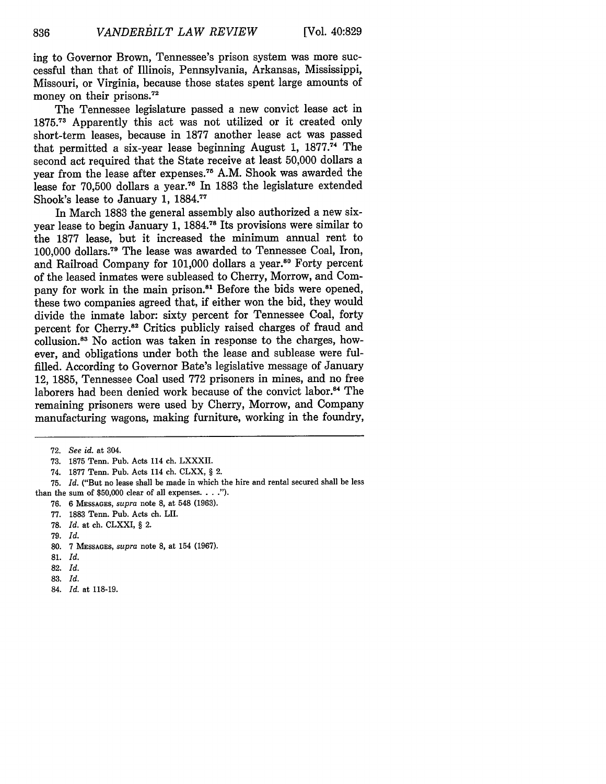ing to Governor Brown, Tennessee's prison system was more successful than that of Illinois, Pennsylvania, Arkansas, Mississippi, Missouri, or Virginia, because those states spent large amounts of money on their prisons.<sup>72</sup>

The Tennessee legislature passed a new convict lease act in **1875. 73** Apparently this act was not utilized or it created only short-term leases, because in 1877 another lease act was passed that permitted a six-year lease beginning August 1, 1877.<sup>74</sup> The second act required that the State receive at least 50,000 dollars a year from the lease after expenses.<sup>75</sup> A.M. Shook was awarded the lease for 70,500 dollars a year.76 In 1883 the legislature extended Shook's lease to January 1, 1884."

In March 1883 the general assembly also authorized a new sixyear lease to begin January 1, 1884.<sup>78</sup> Its provisions were similar to the 1877 lease, but it increased the minimum annual rent to 100,000 dollars.<sup>79</sup> The lease was awarded to Tennessee Coal, Iron, and Railroad Company for 101,000 dollars a year.<sup>80</sup> Forty percent of the leased inmates were subleased to Cherry, Morrow, and Company for work in the main prison.<sup>81</sup> Before the bids were opened, these two companies agreed that, if either won the bid, they would divide the inmate labor: sixty percent for Tennessee Coal, forty percent for Cherry.<sup>82</sup> Critics publicly raised charges of fraud and collusion.<sup>83</sup> No action was taken in response to the charges, however, and obligations under both the lease and sublease were fulfilled. According to Governor Bate's legislative message of January 12, 1885, Tennessee Coal used 772 prisoners in mines, and no free laborers had been denied work because of the convict labor.<sup>84</sup> The remaining prisoners were used by Cherry, Morrow, and Company manufacturing wagons, making furniture, working in the foundry,

- 73. 1875 Tenn. Pub. Acts 114 ch. LXXXII.
- 74. 1877 Tenn. Pub. Acts 114 ch. CLXX, § 2.
- 75. *Id.* ("But no lease shall be made in which the hire and rental secured shall be less than the sum of  $$50,000$  clear of all expenses.  $\ldots$ .").
	- 76. 6 **MESSAGES,** *supra* note **8,** at 548 (1963).
	- 77. 1883 Tenn. Pub. Acts ch. LII.
	- 78. *Id.* at ch. CLXXI, § 2.
	- 79. *Id.*
	- 80. 7 **MESSAGES,** *supra* note 8, at 154 (1967).
	- **81.** *Id.*
	- 82. *Id.*
	- 83. *Id.*
	- 84. *Id.* at 118-19.

836

<sup>72.</sup> *See id.* at 304.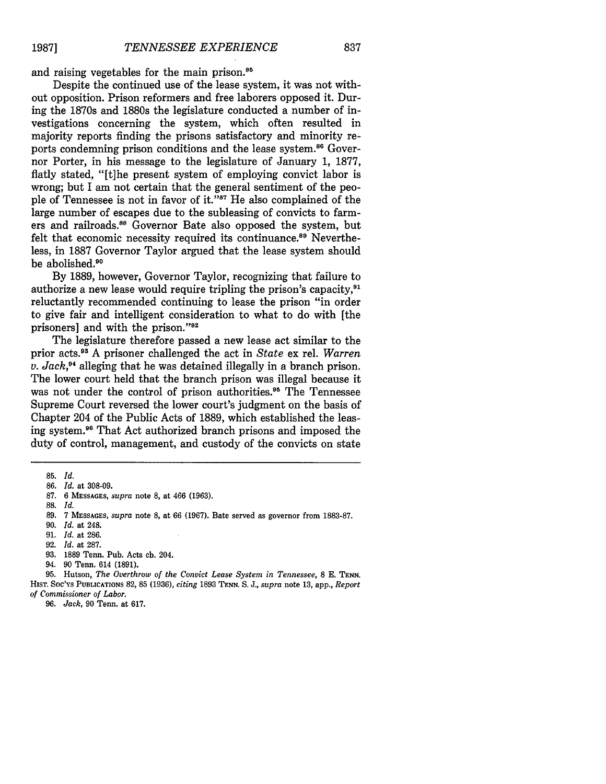and raising vegetables for the main prison.<sup>85</sup>

Despite the continued use of the lease system, it was not without opposition. Prison reformers and free laborers opposed it. During the 1870s and 1880s the legislature conducted a number of investigations concerning the system, which often resulted in majority reports finding the prisons satisfactory and minority reports condemning prison conditions and the lease system.<sup>86</sup> Governor Porter, in his message to the legislature of January 1, 1877, flatly stated, "[t]he present system of employing convict labor is wrong; but I am not certain that the general sentiment of the people of Tennessee is not in favor of it."<sup>87</sup> He also complained of the large number of escapes due to the subleasing of convicts to farmers and railroads.<sup>88</sup> Governor Bate also opposed the system, but felt that economic necessity required its continuance.<sup>89</sup> Nevertheless, in 1887 Governor Taylor argued that the lease system should be abolished.<sup>90</sup>

By 1889, however, Governor Taylor, recognizing that failure to authorize a new lease would require tripling the prison's capacity,<sup>91</sup> reluctantly recommended continuing to lease the prison "in order to give fair and intelligent consideration to what to do with [the prisoners] and with the prison."92

The legislature therefore passed a new lease act similar to the prior acts.9 A prisoner challenged the act in *State* ex rel. *Warren v. Jack,4* alleging that he was detained illegally in a branch prison. The lower court held that the branch prison was illegal because it was not under the control of prison authorities.<sup>95</sup> The Tennessee Supreme Court reversed the lower court's judgment on the basis of Chapter 204 of the Public Acts of 1889, which established the leasing system.<sup>96</sup> That Act authorized branch prisons and imposed the duty of control, management, and custody of the convicts on state

- 89. 7 **MESSAGES,** *supra* note 8, at 66 (1967). Bate served as governor from 1883-87.
- 90. *Id.* at 248.
- 91. *Id.* at 286.
- 92. *Id.* at 287.
- 93. 1889 Tenn. Pub. Acts ch. 204.
- 94. 90 Tenn. 614 (1891).

95. Hutson, *The Overthrow of the Convict Lease System in Tennessee,* 8 E. **TENN.** HisT. Soc's PUBLICATIONS 82, 85 (1936), *citing* 1893 **TENN.** S. J., *supra* note 13, app., *Report of Commissioner of Labor.*

96. *Jack,* 90 Tenn. at 617.

<sup>85.</sup> *Id.*

<sup>86.</sup> *Id.* at 308-09.

<sup>87. 6</sup> **MESSAGES,** *supra* note 8, at 466 (1963).

<sup>88.</sup> *Id.*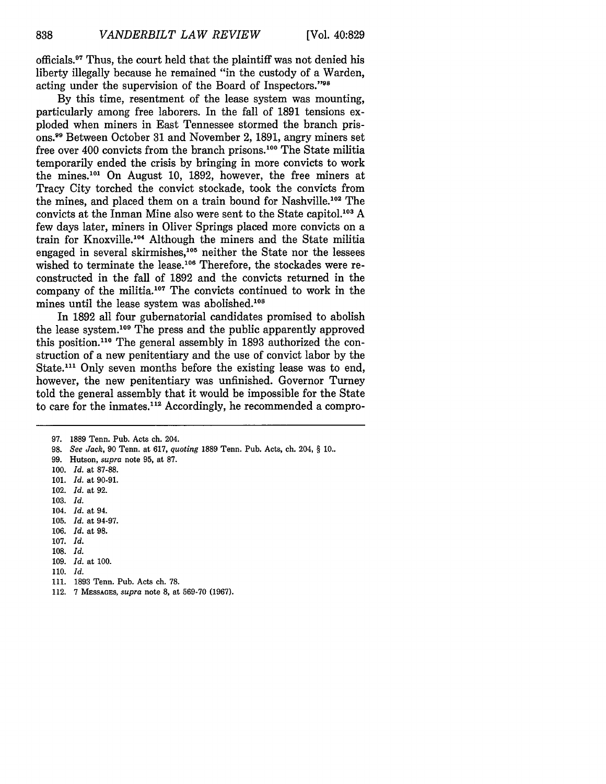officials.<sup>97</sup> Thus, the court held that the plaintiff was not denied his liberty illegally because he remained "in the custody of a Warden, acting under the supervision of the Board of Inspectors."98

**By** this time, resentment of the lease system was mounting, particularly among free laborers. In the fall of **1891** tensions exploded when miners in East Tennessee stormed the branch prisons. 9 Between October **31** and November 2, **1891,** angry miners set free over 400 convicts from the branch prisons.100 The State militia temporarily ended the crisis **by** bringing in more convicts to work the mines.1°1 On August **10, 1892,** however, the free miners at Tracy City torched the convict stockade, took the convicts from the mines, and placed them on a train bound for Nashville.<sup>102</sup> The convicts at the Inman Mine also were sent to the State capitol.103 **A** few days later, miners in Oliver Springs placed more convicts on a train for Knoxville.<sup>104</sup> Although the miners and the State militia engaged in several skirmishes,<sup>105</sup> neither the State nor the lessees wished to terminate the lease.<sup>106</sup> Therefore, the stockades were reconstructed in the fall of **1892** and the convicts returned in the company of the militia.<sup>107</sup> The convicts continued to work in the mines until the lease system was abolished.<sup>108</sup>

In **1892** all four gubernatorial candidates promised to abolish the lease system.<sup>109</sup> The press and the public apparently approved this position.<sup>110</sup> The general assembly in 1893 authorized the construction of a new penitentiary and the use of convict labor **by** the State.<sup>111</sup> Only seven months before the existing lease was to end, however, the new penitentiary was unfinished. Governor Turney told the general assembly that it would be impossible for the State to care for the inmates.<sup>112</sup> Accordingly, he recommended a compro-

- **98.** *See Jack,* **90** Tenn. at **617,** *quoting* **1889** Tenn. Pub. Acts, ch. 204, § **10..**
- **99.** Hutson, *supra* note **95,** at **87.**
- **100.** *Id.* at **87-88.**
- **101.** *Id.* at **90-91.**
- 102. *Id.* at **92.**
- **103.** *Id.*

838

- 104. *Id.* at 94.
- **105.** *Id.* at **94-97.**
- **106.** *Id.* at **98.**
- **107.** *Id.*
- **108.** *Id.*
- 109. *Id.* at 100.
- 110. *Id.*
- 111. 1893 Tenn. Pub. Acts ch. 78.
- 112. 7 **MESSAGES,** *supra* note **8,** at 569-70 **(1967).**

**<sup>97. 1889</sup>** Tenn. Pub. Acts ch. 204.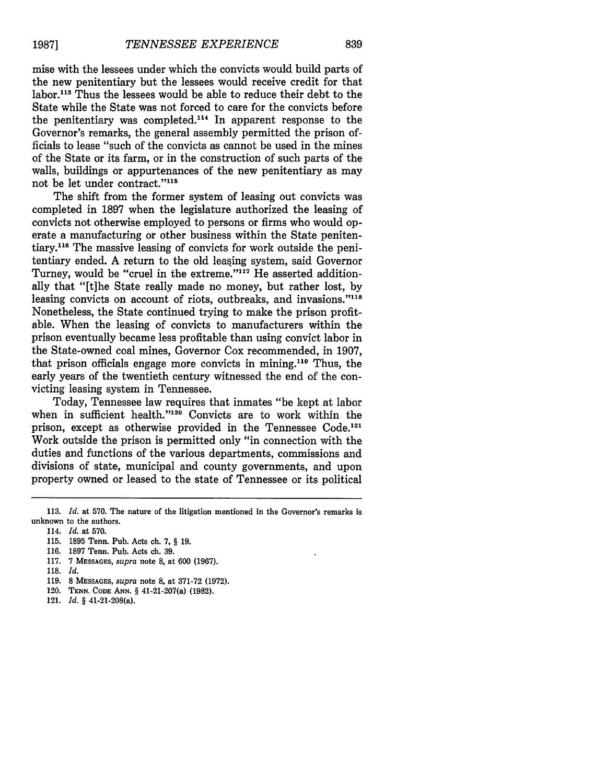mise with the lessees under which the convicts would build parts of the new penitentiary but the lessees would receive credit for that labor.113 Thus the lessees would be able to reduce their debt to the State while the State was not forced to care for the convicts before the penitentiary was completed.<sup>114</sup> In apparent response to the Governor's remarks, the general assembly permitted the prison officials to lease "such of the convicts as cannot be used in the mines of the State or its farm, or in the construction of such parts of the walls, buildings or appurtenances of the new penitentiary as may not be let under contract."<sup>115</sup>

The shift from the former system of leasing out convicts was completed in 1897 when the legislature authorized the leasing of convicts not otherwise employed to persons or firms who would operate a manufacturing or other business within the State penitentiary.<sup>116</sup> The massive leasing of convicts for work outside the penitentiary ended. A return to the old leasing system, said Governor Turney, would be "cruel in the extreme."<sup>117</sup> He asserted additionally that "[t]he State really made no money, but rather lost, by leasing convicts on account of riots, outbreaks, and invasions."<sup>118</sup> Nonetheless, the State continued trying to make the prison profitable. When the leasing of convicts to manufacturers within the prison eventually became less profitable than using convict labor in the State-owned coal mines, Governor Cox recommended, in 1907, that prison officials engage more convicts in mining.<sup>119</sup> Thus, the early years of the twentieth century witnessed the end of the convicting leasing system in Tennessee.

Today, Tennessee law requires that inmates "be kept at labor when in sufficient health."<sup>120</sup> Convicts are to work within the prison, except as otherwise provided in the Tennessee Code.<sup>121</sup> Work outside the prison is permitted only "in connection with the duties and functions of the various departments, commissions and divisions of state, municipal and county governments, and upon property owned or leased to the state of Tennessee or its political

115. 1895 Tenn. Pub. Acts ch. 7, § 19.

- **117.** 7 **MESSAGES,** *supra* note **8,** at **600 (1967).**
- **118.** *Id.*
- **119. 8 MESSAGES,** *supra* note **8,** at **371-72 (1972).**
- 120. **TENN. CODE ANN.** § 41-21-207(a) **(1982).**
- 121. *Id. §* 41-21-208(a).

<sup>113.</sup> *Id.* at 570. The nature of the itigation mentioned in the Governor's remarks is unknown to the authors.

<sup>114.</sup> *Id.* at 570.

<sup>116. 1897</sup> Tenn. Pub. Acts ch. 39.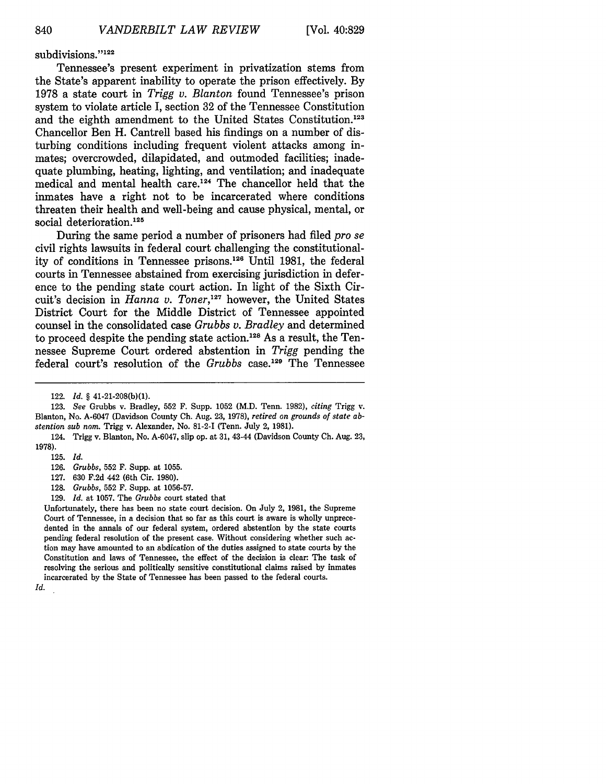subdivisions."<sup>122</sup>

Tennessee's present experiment in privatization stems from the State's apparent inability to operate the prison effectively. By 1978 a state court in *Trigg v. Blanton* found Tennessee's prison system to violate article I, section 32 of the Tennessee Constitution and the eighth amendment to the United States Constitution.'<sup>23</sup> Chancellor Ben H. Cantrell based his findings on a number of disturbing conditions including frequent violent attacks among inmates; overcrowded, dilapidated, and outmoded facilities; inadequate plumbing, heating, lighting, and ventilation; and inadequate medical and mental health care.<sup>124</sup> The chancellor held that the inmates have a right not to be incarcerated where conditions threaten their health and well-being and cause physical, mental, or social deterioration.<sup>125</sup>

During the same period a number of prisoners had filed *pro se* civil rights lawsuits in federal court challenging the constitutionality of conditions in Tennessee prisons.<sup>126</sup> Until 1981, the federal courts in Tennessee abstained from exercising jurisdiction in deference to the pending state court action. In light of the Sixth Circuit's decision in *Hanna v. Toner,127* however, the United States District Court for the Middle District of Tennessee appointed counsel in the consolidated case *Grubbs v. Bradley* and determined to proceed despite the pending state action.<sup>128</sup> As a result, the Tennessee Supreme Court ordered abstention in *Trigg* pending the federal court's resolution of the *Grubbs* case.<sup>129</sup> The Tennessee

- 128. *Grubbs,* 552 F. Supp. at 1056-57.
- 129. *Id.* at 1057. The *Grubbs* court stated that

Unfortunately, there has been no state court decision. On July 2, 1981, the Supreme Court of Tennessee, in a decision that so far as this court is aware is wholly unprecedented in the annals of our federal system, ordered abstention by the state courts pending federal resolution of the present case. Without considering whether such action may have amounted to an abdication of the duties assigned to state courts by the Constitution and laws of Tennessee, the effect of the decision is clear: The task of resolving the serious and politically sensitive constitutional claims raised by inmates incarcerated by the State of Tennessee has been passed to the federal courts.

<sup>122.</sup> *Id. §* 41-21-208(b)(1).

<sup>123.</sup> *See* Grubbs v. Bradley, 552 F. Supp. 1052 (M.D. Tenn. 1982), *citing* Trigg v. Blanton, No. A-6047 (Davidson County **Ch.** Aug. 23, 1978), *retired on grounds of state abstention sub nom.* Trigg v. Alexander, No. 81-2-I (Tenn. July 2, 1981).

<sup>124.</sup> Trigg v. Blanton, No. A-6047, slip op. at 31, 43-44 (Davidson County **Ch.** Aug. 23, 1978).

<sup>125.</sup> *Id.*

<sup>126.</sup> *Grubbs,* 552 F. Supp. at 1055.

<sup>127. 630</sup> F.2d 442 (6th Cir. 1980).

Id.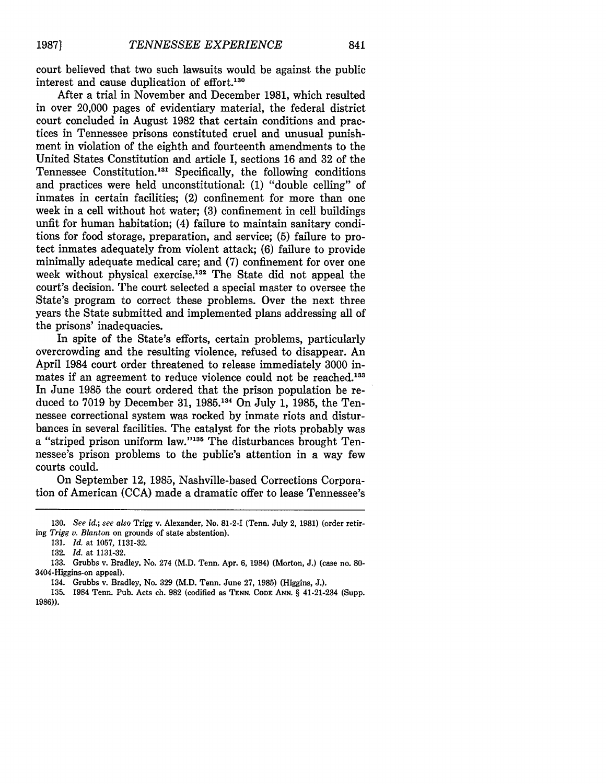court believed that two such lawsuits would be against the public interest and cause duplication of effort.<sup>130</sup>

After a trial in November and December 1981, which resulted in over 20,000 pages of evidentiary material, the federal district court concluded in August 1982 that certain conditions and practices in Tennessee prisons constituted cruel and unusual punishment in violation of the eighth and fourteenth amendments to the United States Constitution and article I, sections 16 and 32 of the Tennessee Constitution.13' Specifically, the following conditions and practices were held unconstitutional: (1) "double celling" of inmates in certain facilities; (2) confinement for more than one week in a cell without hot water; (3) confinement in cell buildings unfit for human habitation; (4) failure to maintain sanitary conditions for food storage, preparation, and service; (5) failure to protect inmates adequately from violent attack; (6) failure to provide minimally adequate medical care; and (7) confinement for over one week without physical exercise.<sup>132</sup> The State did not appeal the court's decision. The court selected a special master to oversee the State's program to correct these problems. Over the next three years the State submitted and implemented plans addressing all of the prisons' inadequacies.

In spite of the State's efforts, certain problems, particularly overcrowding and the resulting violence, refused to disappear. An April 1984 court order threatened to release immediately 3000 inmates if an agreement to reduce violence could not be reached.<sup>133</sup> In June 1985 the court ordered that the prison population be reduced to 7019 by December 31, 1985.<sup>134</sup> On July 1, 1985, the Tennessee correctional system was rocked by inmate riots and disturbances in several facilities. The catalyst for the riots probably was a "striped prison uniform law."<sup>135</sup> The disturbances brought Tennessee's prison problems to the public's attention in a way few courts could.

On September 12, 1985, Nashville-based Corrections Corporation of American (CCA) made a dramatic offer to lease Tennessee's

131. *Id.* at 1057, 1131-32.

132. *Id.* at 1131-32.

<sup>130.</sup> *See id.; see also* Trigg v. Alexander, No. 81-2-1 (Tenn. July 2, 1981) (order retiring *Trigg v. Blanton* on grounds of state abstention).

<sup>133.</sup> Grubbs v. Bradley, No. 274 (M.D. Tenn. Apr. 6, 1984) (Morton, J.) (case no. **80-** 3404-Higgins-on appeal).

<sup>134.</sup> Grubbs v. Bradley, No. 329 (M.D. Tenn. June 27, 1985) (Higgins, J.).

<sup>135. 1984</sup> Tenn. Pub. Acts ch. 982 (codified as **TENN. CODE ANN.** § 41-21-234 (Supp. 1986)).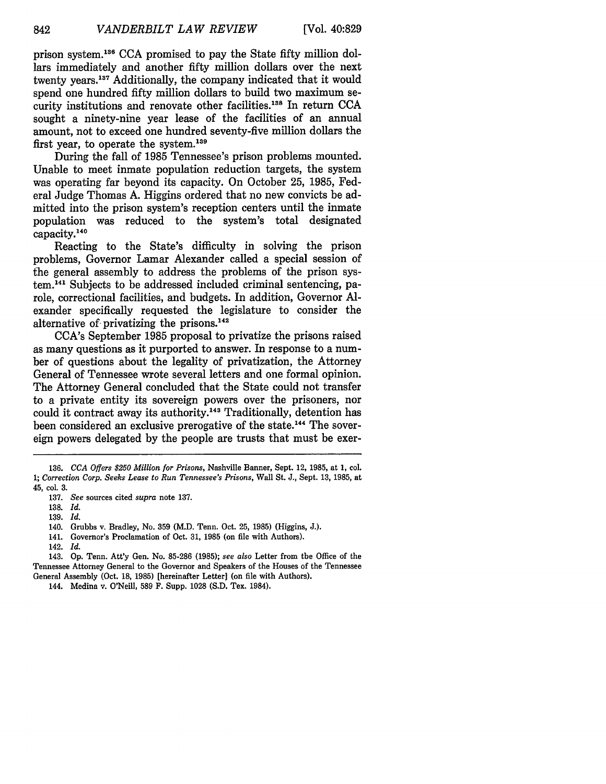prison system.<sup>136</sup> CCA promised to pay the State fifty million dollars immediately and another fifty million dollars over the next twenty years.<sup>137</sup> Additionally, the company indicated that it would spend one hundred fifty million dollars to build two maximum security institutions and renovate other facilities.<sup>138</sup> In return CCA sought a ninety-nine year lease of the facilities of an annual amount, not to exceed one hundred seventy-five million dollars the first year, to operate the system. $139$ 

During the fall of 1985 Tennessee's prison problems mounted. Unable to meet inmate population reduction targets, the system was operating far beyond its capacity. On October 25, 1985, Federal Judge Thomas A. Higgins ordered that no new convicts be admitted into the prison system's reception centers until the inmate population was reduced to the system's total designated capacity.140

Reacting to the State's difficulty in solving the prison problems, Governor Lamar Alexander called a special session of the general assembly to address the problems of the prison system.<sup>141</sup> Subjects to be addressed included criminal sentencing, parole, correctional facilities, and budgets. In addition, Governor Alexander specifically requested the legislature to consider the alternative of privatizing the prisons. $142$ 

CCA's September 1985 proposal to privatize the prisons raised as many questions as it purported to answer. In response to a number of questions about the legality of privatization, the Attorney General of Tennessee wrote several letters and one formal opinion. The Attorney General concluded that the State could not transfer to a private entity its sovereign powers over the prisoners, nor could it contract away its authority.<sup>143</sup> Traditionally, detention has been considered an exclusive prerogative of the state.<sup>144</sup> The sovereign powers delegated by the people are trusts that must be exer-

141. Governor's Proclamation of Oct. 31, 1985 (on file with Authors).

**<sup>136.</sup>** *CCA Offers \$250 Million for Prisons,* Nashville Banner, Sept. 12, **1985,** at 1, **col.** 1; *Correction Corp. Seeks Lease to Run Tennessee's Prisons,* Wall St. J., Sept. 13, 1985, at 45, col. 3.

<sup>137.</sup> *See* sources cited *supra* note 137.

<sup>138.</sup> *Id.*

<sup>139.</sup> *Id.*

<sup>140.</sup> Grubbs v. Bradley, No. 359 (M.D. Tenn. Oct. 25, 1985) (Higgins, J.).

<sup>142.</sup> *Id.*

<sup>143.</sup> Op. Tenn. Att'y Gen. No. 85-286 (1985); *see also* Letter from the Office of the Tennessee Attorney General to the Governor and Speakers of the Houses of the Tennessee General Assembly (Oct. **18, 1985)** [hereinafter Letter] (on file with Authors).

<sup>144.</sup> Medina v. O'Neill, **589 F.** Supp. **1028 (S.D.** Tex. 1984).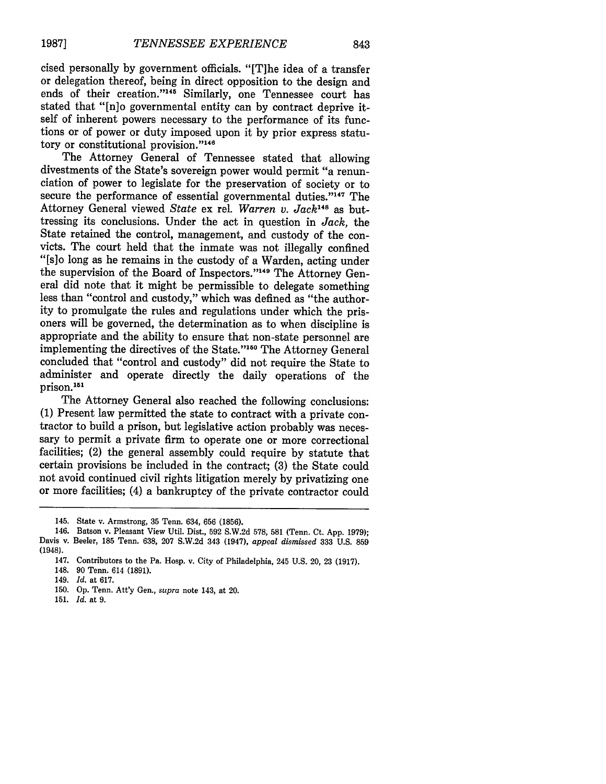cised personally by government officials. "[T]he idea of a transfer or delegation thereof, being in direct opposition to the design and ends of their creation."<sup>145</sup> Similarly, one Tennessee court has stated that "[n]o governmental entity can by contract deprive itself of inherent powers necessary to the performance of its functions or of power or duty imposed upon it by prior express statutory or constitutional provision."<sup>146</sup>

The Attorney General of Tennessee stated that allowing divestments of the State's sovereign power would permit "a renunciation of power to legislate for the preservation of society or to secure the performance of essential governmental duties."<sup>147</sup> The Attorney General viewed *State* ex rel. *Warren v. Jack14 <sup>8</sup>*as buttressing its conclusions. Under the act in question in *Jack,* the State retained the control, management, and custody of the convicts. The court held that the inmate was not illegally confined "[s]o long as he remains in the custody of a Warden, acting under the supervision of the Board of Inspectors."<sup>149</sup> The Attorney General did note that it might be permissible to delegate something less than "control and custody," which was defined as "the authority to promulgate the rules and regulations under which the prisoners will be governed, the determination as to when discipline is appropriate and the ability to ensure that non-state personnel are implementing the directives of the State."<sup>150</sup> The Attorney General concluded that "control and custody" did not require the State to administer and operate directly the daily operations of the prison.<sup>151</sup>

The Attorney General also reached the following conclusions: (1) Present law permitted the state to contract with a private contractor to build a prison, but legislative action probably was necessary to permit a private firm to operate one or more correctional facilities; (2) the general assembly could require by statute that certain provisions be included in the contract; (3) the State could not avoid continued civil rights litigation merely by privatizing one or more facilities; (4) a bankruptcy of the private contractor could

- 150. **Op.** Tenn. Att'y Gen., *supra* note 143, at 20.
- 151. *Id.* at 9.

<sup>145.</sup> State **v.** Armstrong, **35** Tenn. 634, 656 **(1856).**

<sup>146.</sup> Batson v. Pleasant View Util. Dist., 592 S.W.2d 578, 581 (Tenn. Ct. App. 1979); Davis v. Beeler, 185 Tenn. 638, 207 S.W.2d 343 (1947), *appeal dismissed* 333 U.S. 859 (1948).

<sup>147.</sup> Contributors to the Pa. Hosp. v. City of Philadelphia, 245 U.S. 20, 23 (1917).

<sup>148. 90</sup> Tenn. 614 (1891).

<sup>149.</sup> *Id.* at 617.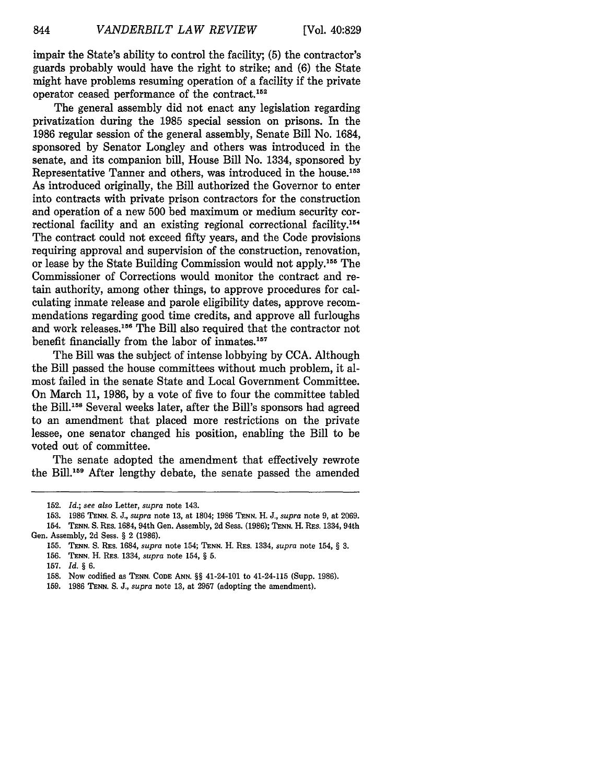impair the State's ability to control the facility; (5) the contractor's guards probably would have the right to strike; and (6) the State might have problems resuming operation of a facility if the private operator ceased performance of the contract.'52

The general assembly did not enact any legislation regarding privatization during the 1985 special session on prisons. In the 1986 regular session of the general assembly, Senate Bill No. 1684, sponsored by Senator Longley and others was introduced in the senate, and its companion bill, House Bill No. 1334, sponsored by Representative Tanner and others, was introduced in the house.<sup>153</sup> As introduced originally, the Bill authorized the Governor to enter into contracts with private prison contractors for the construction and operation of a new 500 bed maximum or medium security correctional facility and an existing regional correctional facility.<sup>154</sup> The contract could not exceed fifty years, and the Code provisions requiring approval and supervision of the construction, renovation, or lease by the State Building Commission would not apply.<sup>155</sup> The Commissioner of Corrections would monitor the contract and retain authority, among other things, to approve procedures for calculating inmate release and parole eligibility dates, approve recommendations regarding good time credits, and approve all furloughs and work releases.<sup>156</sup> The Bill also required that the contractor not benefit financially from the labor of inmates.<sup>157</sup>

The Bill was the subject of intense lobbying by CCA. Although the Bill passed the house committees without much problem, it almost failed in the senate State and Local Government Committee. On March 11, 1986, by a vote of five to four the committee tabled the Bill.<sup>158</sup> Several weeks later, after the Bill's sponsors had agreed to an amendment that placed more restrictions on the private lessee, one senator changed his position, enabling the Bill to be voted out of committee.

The senate adopted the amendment that effectively rewrote the Bill.<sup>159</sup> After lengthy debate, the senate passed the amended

**<sup>152.</sup>** *Id.; see also* Letter, *supra* note 143.

**<sup>153. 1986</sup> TENN.** *S.* J., *supra* note 13, at 1804; 1986 **TENN.** H. J., *supra* note 9, at 2069. 154. **TENN.** S. RES. 1684, 94th Gen. Assembly, 2d Sess. (1986); **TENN.** H. RES. 1334, 94th Gen. Assembly, 2d Sess. § 2 (1986).

<sup>155.</sup> **TENN.** S. RES. 1684, *supra* note 154; **TENN.** H. RES. 1334, *supra* note 154, § **3. 156. TENN.** H. REs. 1334, *supra* note 154, § **5.**

**<sup>157.</sup>** *Id. § 6.*

**<sup>158.</sup>** Now codified as **TENN. CODE ANN.** §§ 41-24-101 to 41-24-115 (Supp. 1986).

**<sup>159. 1986</sup> TENN.** S. J., *supra* note **13,** at **2957** (adopting the amendment).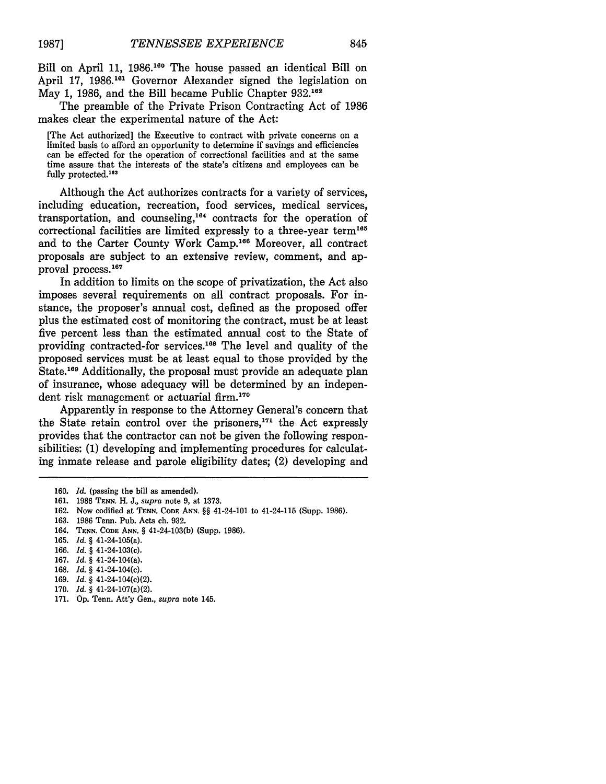Bill on April 11, 1986.<sup>160</sup> The house passed an identical Bill on April 17, 1986.<sup>161</sup> Governor Alexander signed the legislation on May 1, 1986, and the Bill became Public Chapter **932.16**

The preamble of the Private Prison Contracting Act of 1986 makes clear the experimental nature of the Act:

[The Act authorized] the Executive to contract with private concerns on a limited basis to afford an opportunity to determine if savings and efficiencies can be effected for the operation of correctional facilities and at the same time assure that the interests of the state's citizens and employees can be fully protected.<sup>163</sup>

Although the Act authorizes contracts for a variety of services, including education, recreation, food services, medical services, transportation, and counseling,<sup>164</sup> contracts for the operation of correctional facilities are limited expressly to a three-year term<sup>165</sup> and to the Carter County Work Camp.<sup>166</sup> Moreover, all contract proposals are subject to an extensive review, comment, and approval process.<sup>167</sup>

In addition to limits on the scope of privatization, the Act also imposes several requirements on all contract proposals. For instance, the proposer's annual cost, defined as the proposed offer plus the estimated cost of monitoring the contract, must be at least five percent less than the estimated annual cost to the State of providing contracted-for services.<sup>168</sup> The level and quality of the proposed services must be at least equal to those provided by the State.<sup>169</sup> Additionally, the proposal must provide an adequate plan of insurance, whose adequacy will be determined by an independent risk management or actuarial firm.<sup>170</sup>

Apparently in response to the Attorney General's concern that the State retain control over the prisoners, $171$  the Act expressly provides that the contractor can not be given the following responsibilities: (1) developing and implementing procedures for calculating inmate release and parole eligibility dates; (2) developing and

- 166. *Id. §* 41-24-103(c).
- 167. *Id. §* 41-24-104(a).
- 168. *Id. §* 41-24-104(c).
- 169. *Id. §* 41-24-104(c)(2).
- 170. *Id. §* 41-24-107(a)(2).
- 171. **Op.** Tenn. Att'y Gen., *supra* note 145.

<sup>160.</sup> *Id.* (passing the bill as amended).

<sup>161. 1986</sup> **TENN.** H. J., *supra* note 9, at 1373.

<sup>162.</sup> Now codified at **TENN. CODE ANN.** *§§* 41-24-101 to 41-24-115 (Supp. 1986).

<sup>163. 1986</sup> Tenn. Pub. Acts ch. 932.

<sup>164.</sup> **TENN. CODE ANN.** § 41-24-103(b) (Supp. 1986).

<sup>165.</sup> *Id. §* 41-24-105(a).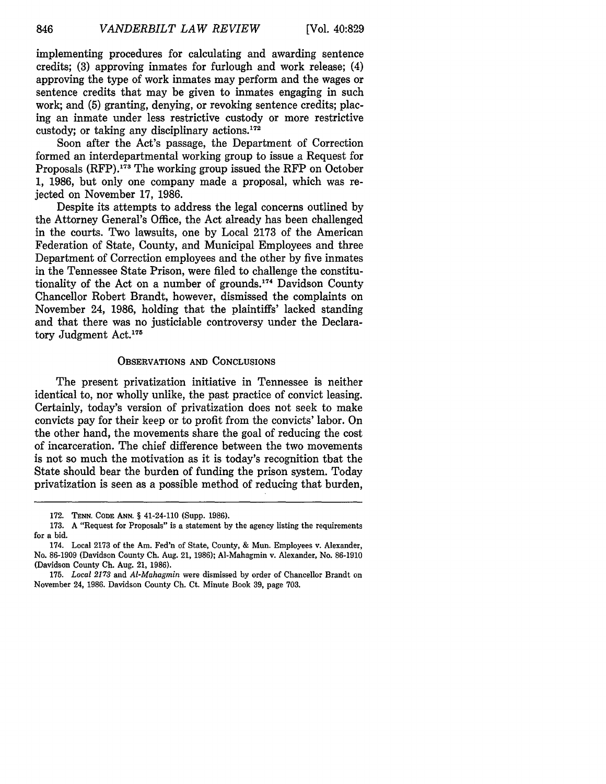implementing procedures for calculating and awarding sentence credits; (3) approving inmates for furlough and work release; (4) approving the type of work inmates may perform and the wages or sentence credits that may be given to inmates engaging in such work; and (5) granting, denying, or revoking sentence credits; placing an inmate under less restrictive custody or more restrictive custody; or taking any disciplinary actions.<sup>172</sup>

Soon after the Act's passage, the Department of Correction formed an interdepartmental working group to issue a Request for Proposals (RFP).<sup>173</sup> The working group issued the RFP on October 1, 1986, but only one company made a proposal, which was rejected on November 17, 1986.

Despite its attempts to address the legal concerns outlined by the Attorney General's Office, the Act already has been challenged in the courts. Two lawsuits, one by Local 2173 of the American Federation of State, County, and Municipal Employees and three Department of Correction employees and the other by five inmates in the Tennessee State Prison, were filed to challenge the constitutionality of the Act on a number of grounds.<sup>174</sup> Davidson County Chancellor Robert Brandt, however, dismissed the complaints on November 24, 1986, holding that the plaintiffs' lacked standing and that there was no justiciable controversy under the Declaratory Judgment Act.<sup>175</sup>

#### OBSERVATIONS **AND** CONCLUSIONS

The present privatization initiative in Tennessee is neither identical to, nor wholly unlike, the past practice of convict leasing. Certainly, today's version of privatization does not seek to make convicts pay for their keep or to profit from the convicts' labor. On the other hand, the movements share the goal of reducing the cost of incarceration. The chief difference between the two movements is not so much the motivation as it is today's recognition that the State should bear the burden of funding the prison system. Today privatization is seen as a possible method of reducing that burden,

<sup>172.</sup> **TENN. CODE ANN.** § 41-24-110 (Supp. 1986).

**<sup>173.</sup>** A "Request for Proposals" is a statement **by** the agency listing the requirements for a bid.

<sup>174.</sup> Local 2173 of the Am. Fed'n of State, County, & Mun. Employees v. Alexander, No. 86-1909 (Davidson County Ch. Aug. 21, 1986); Al-Mahagmin v. Alexander, No. 86-1910 (Davidson County Ch. Aug. 21, 1986).

<sup>175.</sup> *Local 2173* and *Al-Mahagmin* were dismissed by order of Chancellor Brandt on November 24, 1986. Davidson County Ch. Ct. Minute Book 39, page 703.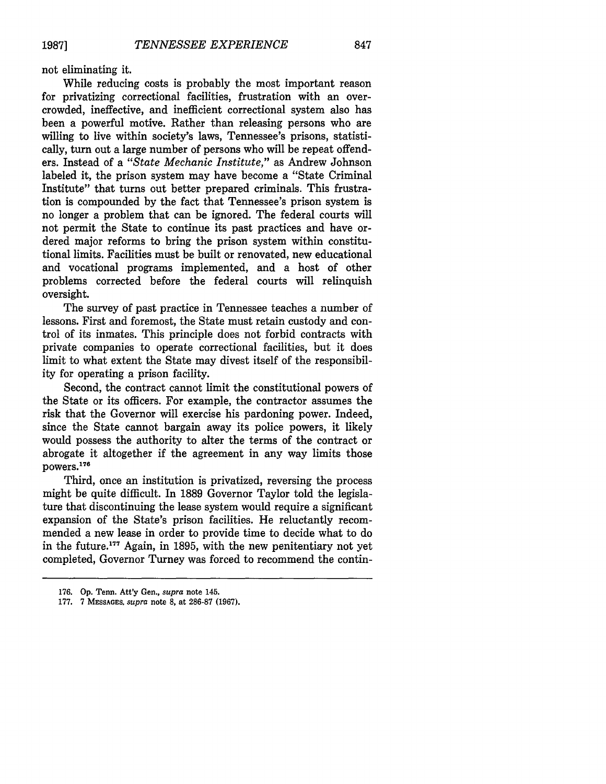not eliminating it.

While reducing costs is probably the most important reason for privatizing correctional facilities, frustration with an overcrowded, ineffective, and inefficient correctional system also has been a powerful motive. Rather than releasing persons who are willing to live within society's laws, Tennessee's prisons, statistically, turn out a large number of persons who will be repeat offenders. Instead of a *"State Mechanic Institute,"* as Andrew Johnson labeled it, the prison system may have become a "State Criminal Institute" that turns out better prepared criminals. This frustration is compounded **by** the fact that Tennessee's prison system is no longer a problem that can be ignored. The federal courts will not permit the State to continue its past practices and have ordered major reforms to bring the prison system within constitutional limits. Facilities must be built or renovated, new educational and vocational programs implemented, and a host of other problems corrected before the federal courts will relinquish oversight.

The survey of past practice in Tennessee teaches a number of lessons. First and foremost, the State must retain custody and control of its inmates. This principle does not forbid contracts with private companies to operate correctional facilities, but it does limit to what extent the State may divest itself of the responsibility for operating a prison facility.

Second, the contract cannot limit the constitutional powers of the State or its officers. For example, the contractor assumes the risk that the Governor will exercise his pardoning power. Indeed, since the State cannot bargain away its police powers, it likely would possess the authority to alter the terms of the contract or abrogate it altogether if the agreement in any way limits those powers.<sup>176</sup>

Third, once an institution is privatized, reversing the process might be quite difficult. In **1889** Governor Taylor told the legislature that discontinuing the lease system would require a significant expansion of the State's prison facilities. He reluctantly recommended a new lease in order to provide time to decide what to do in the future.177 Again, in **1895,** with the new penitentiary not yet completed, Governor Turney was forced to recommend the contin-

**<sup>176.</sup> Op.** Tenn. Att'y Gen., *supra* note 145.

**<sup>177. 7</sup> MESSAGES,** *supra* note **8,** at **286-87 (1967).**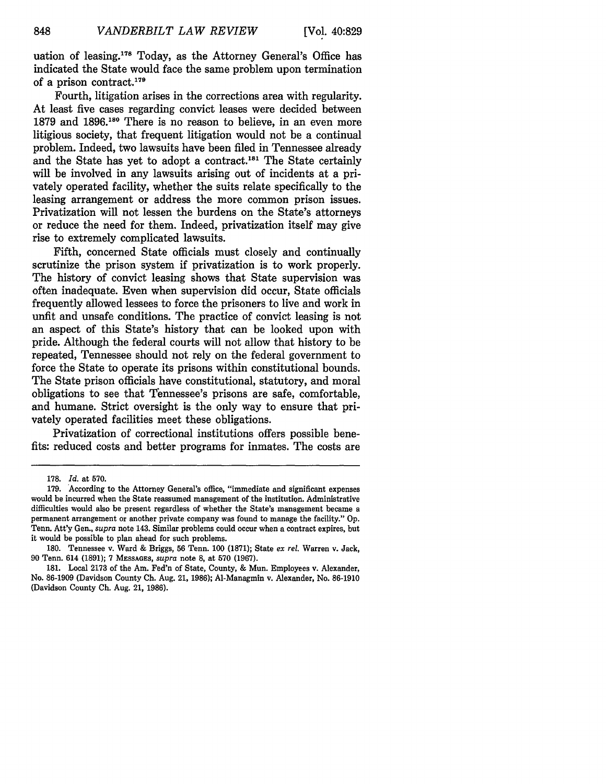uation of leasing.<sup>178</sup> Today, as the Attorney General's Office has indicated the State would face the same problem upon termination of a prison contract.'79

Fourth, litigation arises in the corrections area with regularity. At least five cases regarding convict leases were decided between 1879 and 1896.180 There is no reason to believe, in an even more litigious society, that frequent litigation would not be a continual problem. Indeed, two lawsuits have been filed in Tennessee already and the State has yet to adopt a contract.<sup>181</sup> The State certainly will be involved in any lawsuits arising out of incidents at a privately operated facility, whether the suits relate specifically to the leasing arrangement or address the more common prison issues. Privatization will not lessen the burdens on the State's attorneys or reduce the need for them. Indeed, privatization itself may give rise to extremely complicated lawsuits.

Fifth, concerned State officials must closely and continually scrutinize the prison system if privatization is to work properly. The history of convict leasing shows that State supervision was often inadequate. Even when supervision did occur, State officials frequently allowed lessees to force the prisoners to live and work in unfit and unsafe conditions. The practice of convict leasing is not an aspect of this State's history that can be looked upon with pride. Although the federal courts will not allow that history to be repeated, Tennessee should not rely on the federal government to force the State to operate its prisons within constitutional bounds. The State prison officials have constitutional, statutory, and moral obligations to see that Tennessee's prisons are safe, comfortable, and humane. Strict oversight is the only way to ensure that privately operated facilities meet these obligations.

Privatization of correctional institutions offers possible benefits: reduced costs and better programs for inmates. The costs are

<sup>178.</sup> Id. at 570.

**<sup>179.</sup>** According to the Attorney General's office, "immediate and significant expenses would be incurred when the State reassumed management of the institution. Administrative difficulties would also be present regardless of whether the State's management became a permanent arrangement or another private company was found to manage the facility." Op. Tenn. Att'y Gen., *supra* note 143. Similar problems could occur when a contract expires, but it would be possible to plan ahead for such problems.

<sup>180.</sup> Tennessee v. Ward & Briggs, **56** Tenn. 100 (1871); State *ex rel.* Warren v. Jack, 90 Tenn. 614 (1891); 7 **MESSAGES,** *supra* note 8, at 570 (1967).

<sup>181.</sup> Local 2173 of the Am. Fed'n of State, County, & Mun. Employees v. Alexander, No. 86-1909 (Davidson County **Ch.** Aug. 21, 1986); Al-Managmin v. Alexander, No. 86-1910 (Davidson County **Ch.** Aug. 21, 1986).